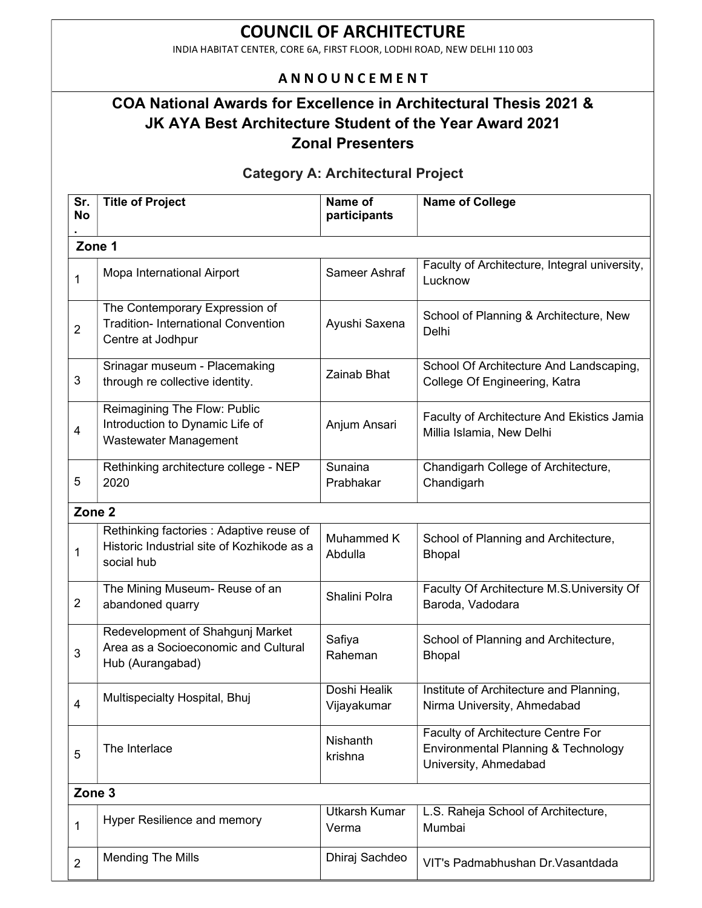INDIA HABITAT CENTER, CORE 6A, FIRST FLOOR, LODHI ROAD, NEW DELHI 110 003

### **ANNOUNCEMENT**

## COA National Awards for Excellence in Architectural Thesis 2021 & JK AYA Best Architecture Student of the Year Award 2021 Zonal Presenters

### Category A: Architectural Project

| Sr.<br><b>No</b>        | <b>Title of Project</b>                                                                              | Name of<br>participants       | <b>Name of College</b>                                                                             |  |  |
|-------------------------|------------------------------------------------------------------------------------------------------|-------------------------------|----------------------------------------------------------------------------------------------------|--|--|
| Zone 1                  |                                                                                                      |                               |                                                                                                    |  |  |
| $\mathbf{1}$            | Mopa International Airport                                                                           | Sameer Ashraf                 | Faculty of Architecture, Integral university,<br>Lucknow                                           |  |  |
| $\overline{2}$          | The Contemporary Expression of<br>Tradition- International Convention<br>Centre at Jodhpur           | Ayushi Saxena                 | School of Planning & Architecture, New<br>Delhi                                                    |  |  |
| 3                       | Srinagar museum - Placemaking<br>through re collective identity.                                     | Zainab Bhat                   | School Of Architecture And Landscaping,<br>College Of Engineering, Katra                           |  |  |
| $\overline{\mathbf{4}}$ | Reimagining The Flow: Public<br>Introduction to Dynamic Life of<br><b>Wastewater Management</b>      | Anjum Ansari                  | Faculty of Architecture And Ekistics Jamia<br>Millia Islamia, New Delhi                            |  |  |
| 5                       | Rethinking architecture college - NEP<br>2020                                                        | Sunaina<br>Prabhakar          | Chandigarh College of Architecture,<br>Chandigarh                                                  |  |  |
| Zone <sub>2</sub>       |                                                                                                      |                               |                                                                                                    |  |  |
| $\mathbf{1}$            | Rethinking factories : Adaptive reuse of<br>Historic Industrial site of Kozhikode as a<br>social hub | Muhammed K<br>Abdulla         | School of Planning and Architecture,<br><b>Bhopal</b>                                              |  |  |
| $\overline{2}$          | The Mining Museum- Reuse of an<br>abandoned quarry                                                   | Shalini Polra                 | Faculty Of Architecture M.S.University Of<br>Baroda, Vadodara                                      |  |  |
| 3                       | Redevelopment of Shahgunj Market<br>Area as a Socioeconomic and Cultural<br>Hub (Aurangabad)         | Safiya<br>Raheman             | School of Planning and Architecture,<br><b>Bhopal</b>                                              |  |  |
| 4                       | Multispecialty Hospital, Bhuj                                                                        | Doshi Healik<br>Vijayakumar   | Institute of Architecture and Planning,<br>Nirma University, Ahmedabad                             |  |  |
| 5                       | The Interlace                                                                                        | Nishanth<br>krishna           | Faculty of Architecture Centre For<br>Environmental Planning & Technology<br>University, Ahmedabad |  |  |
|                         | Zone <sub>3</sub>                                                                                    |                               |                                                                                                    |  |  |
| 1                       | Hyper Resilience and memory                                                                          | <b>Utkarsh Kumar</b><br>Verma | L.S. Raheja School of Architecture,<br>Mumbai                                                      |  |  |
| $\overline{2}$          | <b>Mending The Mills</b>                                                                             | Dhiraj Sachdeo                | VIT's Padmabhushan Dr. Vasantdada                                                                  |  |  |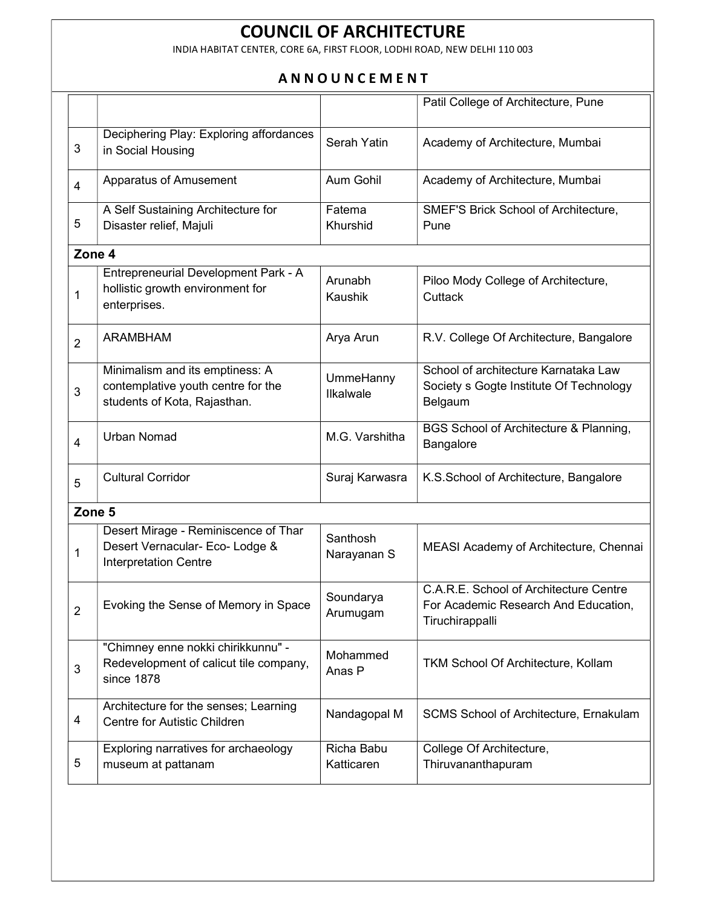INDIA HABITAT CENTER, CORE 6A, FIRST FLOOR, LODHI ROAD, NEW DELHI 110 003

### **ANNOUNCEMENT**

|                          |                                                                                                         |                          | Patil College of Architecture, Pune                                                               |
|--------------------------|---------------------------------------------------------------------------------------------------------|--------------------------|---------------------------------------------------------------------------------------------------|
| 3                        | Deciphering Play: Exploring affordances<br>in Social Housing                                            | Serah Yatin              | Academy of Architecture, Mumbai                                                                   |
| $\overline{4}$           | Apparatus of Amusement                                                                                  | Aum Gohil                | Academy of Architecture, Mumbai                                                                   |
| 5                        | A Self Sustaining Architecture for<br>Disaster relief, Majuli                                           | Fatema<br>Khurshid       | SMEF'S Brick School of Architecture,<br>Pune                                                      |
| Zone 4                   |                                                                                                         |                          |                                                                                                   |
| 1                        | Entrepreneurial Development Park - A<br>hollistic growth environment for<br>enterprises.                | Arunabh<br>Kaushik       | Piloo Mody College of Architecture,<br>Cuttack                                                    |
| $\overline{2}$           | <b>ARAMBHAM</b>                                                                                         | Arya Arun                | R.V. College Of Architecture, Bangalore                                                           |
| 3                        | Minimalism and its emptiness: A<br>contemplative youth centre for the<br>students of Kota, Rajasthan.   | UmmeHanny<br>Ilkalwale   | School of architecture Karnataka Law<br>Society s Gogte Institute Of Technology<br>Belgaum        |
| $\overline{\mathcal{A}}$ | <b>Urban Nomad</b>                                                                                      | M.G. Varshitha           | BGS School of Architecture & Planning,<br>Bangalore                                               |
| 5                        | <b>Cultural Corridor</b>                                                                                | Suraj Karwasra           | K.S.School of Architecture, Bangalore                                                             |
| Zone 5                   |                                                                                                         |                          |                                                                                                   |
| 1                        | Desert Mirage - Reminiscence of Thar<br>Desert Vernacular- Eco- Lodge &<br><b>Interpretation Centre</b> | Santhosh<br>Narayanan S  | MEASI Academy of Architecture, Chennai                                                            |
| $\overline{2}$           | Evoking the Sense of Memory in Space                                                                    | Soundarya<br>Arumugam    | C.A.R.E. School of Architecture Centre<br>For Academic Research And Education,<br>Tiruchirappalli |
| $\mathfrak{S}$           | "Chimney enne nokki chirikkunnu" -<br>Redevelopment of calicut tile company,<br>since 1878              | Mohammed<br>Anas P       | TKM School Of Architecture, Kollam                                                                |
| 4                        | Architecture for the senses; Learning<br>Centre for Autistic Children                                   | Nandagopal M             | SCMS School of Architecture, Ernakulam                                                            |
| 5                        | Exploring narratives for archaeology<br>museum at pattanam                                              | Richa Babu<br>Katticaren | College Of Architecture,<br>Thiruvananthapuram                                                    |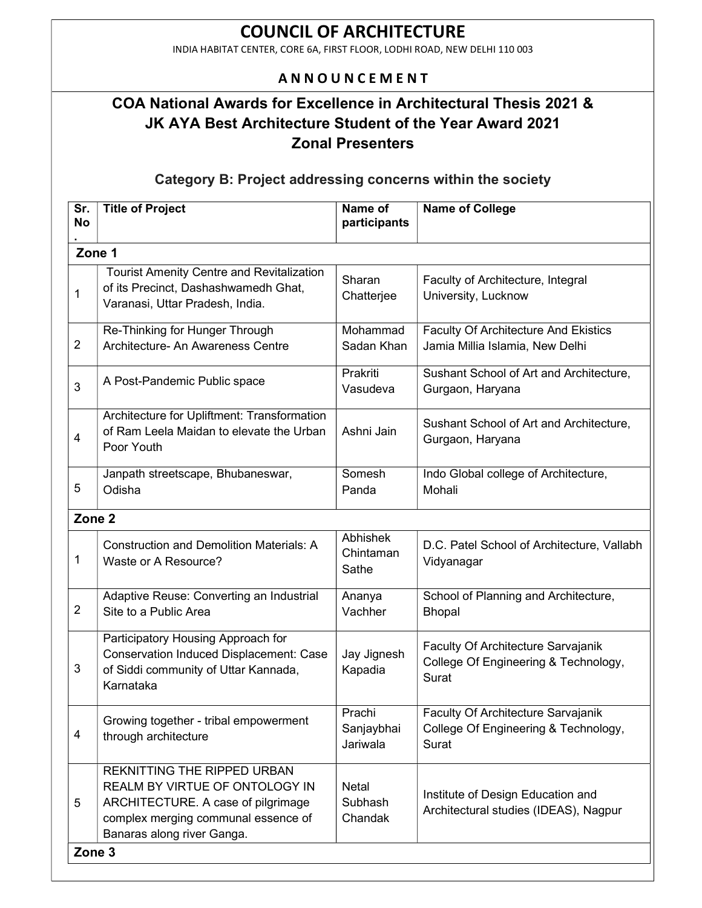INDIA HABITAT CENTER, CORE 6A, FIRST FLOOR, LODHI ROAD, NEW DELHI 110 003

### A N N O U N C E M E N T

## COA National Awards for Excellence in Architectural Thesis 2021 & JK AYA Best Architecture Student of the Year Award 2021 Zonal Presenters

#### Category B: Project addressing concerns within the society

| Sr.<br><b>No</b>        | <b>Title of Project</b>                                                                                                                                                         | Name of<br>participants          | <b>Name of College</b>                                                              |  |
|-------------------------|---------------------------------------------------------------------------------------------------------------------------------------------------------------------------------|----------------------------------|-------------------------------------------------------------------------------------|--|
|                         | Zone 1                                                                                                                                                                          |                                  |                                                                                     |  |
| $\mathbf 1$             | <b>Tourist Amenity Centre and Revitalization</b><br>of its Precinct, Dashashwamedh Ghat,<br>Varanasi, Uttar Pradesh, India.                                                     | Sharan<br>Chatterjee             | Faculty of Architecture, Integral<br>University, Lucknow                            |  |
| $\overline{2}$          | Re-Thinking for Hunger Through<br>Architecture- An Awareness Centre                                                                                                             | Mohammad<br>Sadan Khan           | <b>Faculty Of Architecture And Ekistics</b><br>Jamia Millia Islamia, New Delhi      |  |
| 3                       | A Post-Pandemic Public space                                                                                                                                                    | Prakriti<br>Vasudeva             | Sushant School of Art and Architecture,<br>Gurgaon, Haryana                         |  |
| $\overline{\mathbf{4}}$ | Architecture for Upliftment: Transformation<br>of Ram Leela Maidan to elevate the Urban<br>Poor Youth                                                                           | Ashni Jain                       | Sushant School of Art and Architecture,<br>Gurgaon, Haryana                         |  |
| 5                       | Janpath streetscape, Bhubaneswar,<br>Odisha                                                                                                                                     | Somesh<br>Panda                  | Indo Global college of Architecture,<br>Mohali                                      |  |
| Zone <sub>2</sub>       |                                                                                                                                                                                 |                                  |                                                                                     |  |
| 1                       | <b>Construction and Demolition Materials: A</b><br>Waste or A Resource?                                                                                                         | Abhishek<br>Chintaman<br>Sathe   | D.C. Patel School of Architecture, Vallabh<br>Vidyanagar                            |  |
| $\overline{2}$          | Adaptive Reuse: Converting an Industrial<br>Site to a Public Area                                                                                                               | Ananya<br>Vachher                | School of Planning and Architecture,<br><b>Bhopal</b>                               |  |
| 3                       | Participatory Housing Approach for<br><b>Conservation Induced Displacement: Case</b><br>of Siddi community of Uttar Kannada,<br>Karnataka                                       | Jay Jignesh<br>Kapadia           | Faculty Of Architecture Sarvajanik<br>College Of Engineering & Technology,<br>Surat |  |
| 4                       | Growing together - tribal empowerment<br>through architecture                                                                                                                   | Prachi<br>Sanjaybhai<br>Jariwala | Faculty Of Architecture Sarvajanik<br>College Of Engineering & Technology,<br>Surat |  |
| 5                       | <b>REKNITTING THE RIPPED URBAN</b><br>REALM BY VIRTUE OF ONTOLOGY IN<br>ARCHITECTURE. A case of pilgrimage<br>complex merging communal essence of<br>Banaras along river Ganga. | Netal<br>Subhash<br>Chandak      | Institute of Design Education and<br>Architectural studies (IDEAS), Nagpur          |  |
|                         | Zone 3                                                                                                                                                                          |                                  |                                                                                     |  |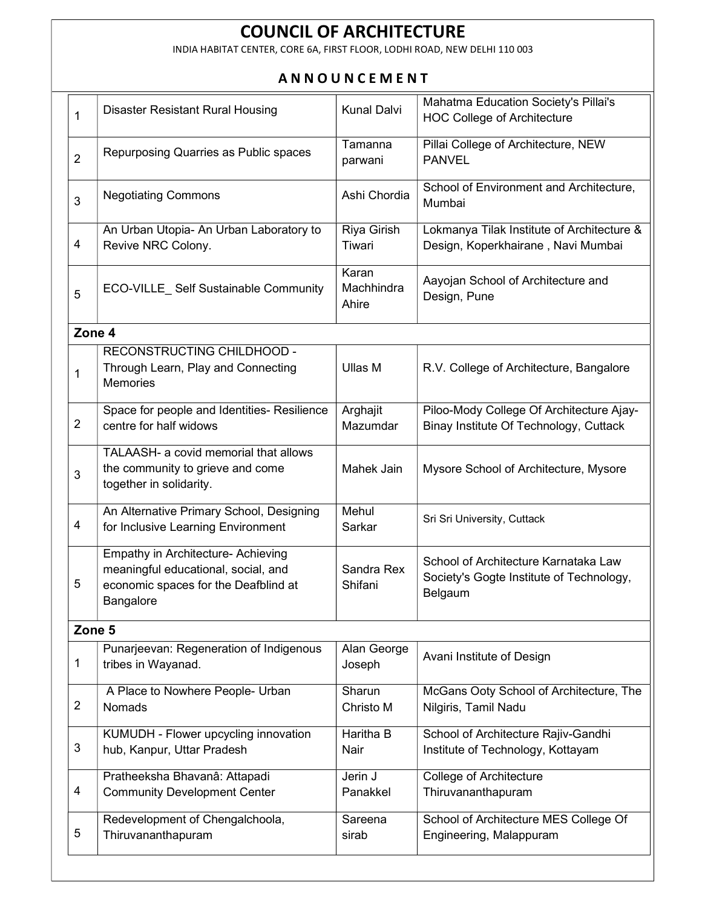INDIA HABITAT CENTER, CORE 6A, FIRST FLOOR, LODHI ROAD, NEW DELHI 110 003

#### **ANNOUNCEMENT**

| 1              | <b>Disaster Resistant Rural Housing</b>               | <b>Kunal Dalvi</b> | Mahatma Education Society's Pillai's<br><b>HOC College of Architecture</b> |
|----------------|-------------------------------------------------------|--------------------|----------------------------------------------------------------------------|
|                |                                                       |                    |                                                                            |
|                | Repurposing Quarries as Public spaces                 | Tamanna            | Pillai College of Architecture, NEW                                        |
| $\overline{2}$ |                                                       | parwani            | <b>PANVEL</b>                                                              |
|                |                                                       | Ashi Chordia       | School of Environment and Architecture,                                    |
| 3              | <b>Negotiating Commons</b>                            |                    | Mumbai                                                                     |
|                | An Urban Utopia- An Urban Laboratory to               | Riya Girish        | Lokmanya Tilak Institute of Architecture &                                 |
| $\overline{4}$ | Revive NRC Colony.                                    | Tiwari             | Design, Koperkhairane, Navi Mumbai                                         |
|                |                                                       | Karan              |                                                                            |
|                | ECO-VILLE Self Sustainable Community                  | Machhindra         | Aayojan School of Architecture and                                         |
| 5              |                                                       | Ahire              | Design, Pune                                                               |
|                |                                                       |                    |                                                                            |
| Zone 4         |                                                       |                    |                                                                            |
|                | RECONSTRUCTING CHILDHOOD -                            |                    |                                                                            |
| $\mathbf{1}$   | Through Learn, Play and Connecting<br><b>Memories</b> | Ullas M            | R.V. College of Architecture, Bangalore                                    |
|                |                                                       |                    |                                                                            |
|                | Space for people and Identities- Resilience           | Arghajit           | Piloo-Mody College Of Architecture Ajay-                                   |
| $\overline{2}$ | centre for half widows                                | Mazumdar           | Binay Institute Of Technology, Cuttack                                     |
|                | TALAASH- a covid memorial that allows                 |                    |                                                                            |
| 3              | the community to grieve and come                      | Mahek Jain         | Mysore School of Architecture, Mysore                                      |
|                | together in solidarity.                               |                    |                                                                            |
|                | An Alternative Primary School, Designing              | Mehul              |                                                                            |
| 4              | for Inclusive Learning Environment                    | Sarkar             | Sri Sri University, Cuttack                                                |
|                | Empathy in Architecture- Achieving                    |                    |                                                                            |
|                | meaningful educational, social, and                   | Sandra Rex         | School of Architecture Karnataka Law                                       |
| 5              | economic spaces for the Deafblind at                  | Shifani            | Society's Gogte Institute of Technology,                                   |
|                | Bangalore                                             |                    | Belgaum                                                                    |
| Zone 5         |                                                       |                    |                                                                            |
|                | Punarjeevan: Regeneration of Indigenous               | Alan George        |                                                                            |
| $\mathbf{1}$   | tribes in Wayanad.                                    | Joseph             | Avani Institute of Design                                                  |
|                |                                                       |                    |                                                                            |
| $\overline{2}$ | A Place to Nowhere People- Urban                      | Sharun             | McGans Ooty School of Architecture, The                                    |
|                | <b>Nomads</b>                                         | Christo M          | Nilgiris, Tamil Nadu                                                       |
|                | KUMUDH - Flower upcycling innovation                  | Haritha B          | School of Architecture Rajiv-Gandhi                                        |
| $\mathfrak{S}$ | hub, Kanpur, Uttar Pradesh                            | Nair               | Institute of Technology, Kottayam                                          |
|                | Pratheeksha Bhavanâ: Attapadi                         | Jerin J            | <b>College of Architecture</b>                                             |
| $\overline{4}$ | <b>Community Development Center</b>                   | Panakkel           | Thiruvananthapuram                                                         |
|                |                                                       |                    |                                                                            |
| 5              | Redevelopment of Chengalchoola,                       | Sareena            | School of Architecture MES College Of                                      |
|                | Thiruvananthapuram                                    | sirab              | Engineering, Malappuram                                                    |
|                |                                                       |                    |                                                                            |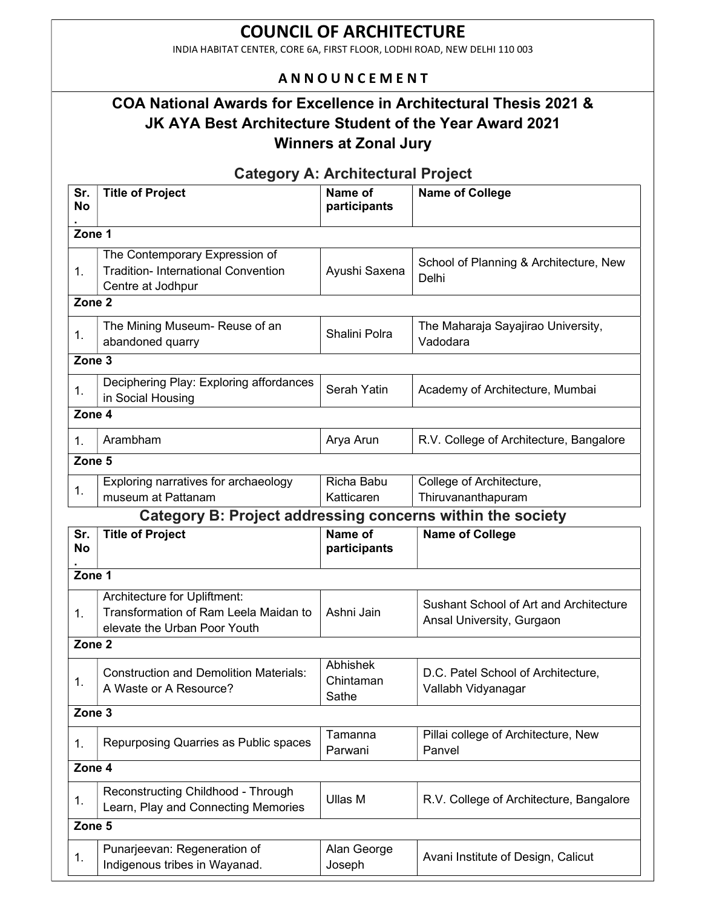INDIA HABITAT CENTER, CORE 6A, FIRST FLOOR, LODHI ROAD, NEW DELHI 110 003

### **ANNOUNCEMENT**

## COA National Awards for Excellence in Architectural Thesis 2021 & JK AYA Best Architecture Student of the Year Award 2021 Winners at Zonal Jury

Category A: Architectural Project

| Sr.<br><b>No</b>  | <b>Title of Project</b>                                                                               | Name of<br>participants        | <b>Name of College</b>                                              |  |  |
|-------------------|-------------------------------------------------------------------------------------------------------|--------------------------------|---------------------------------------------------------------------|--|--|
|                   | Zone 1                                                                                                |                                |                                                                     |  |  |
| 1.                | The Contemporary Expression of<br><b>Tradition-International Convention</b><br>Centre at Jodhpur      | Ayushi Saxena                  | School of Planning & Architecture, New<br>Delhi                     |  |  |
| Zone <sub>2</sub> |                                                                                                       |                                |                                                                     |  |  |
| 1.                | The Mining Museum- Reuse of an<br>abandoned quarry                                                    | Shalini Polra                  | The Maharaja Sayajirao University,<br>Vadodara                      |  |  |
| Zone <sub>3</sub> |                                                                                                       |                                |                                                                     |  |  |
| 1.                | Deciphering Play: Exploring affordances<br>in Social Housing                                          | Serah Yatin                    | Academy of Architecture, Mumbai                                     |  |  |
| Zone 4            |                                                                                                       |                                |                                                                     |  |  |
| 1.                | Arambham                                                                                              | Arya Arun                      | R.V. College of Architecture, Bangalore                             |  |  |
| Zone <sub>5</sub> |                                                                                                       |                                |                                                                     |  |  |
| 1.                | Exploring narratives for archaeology<br>museum at Pattanam                                            | Richa Babu<br>Katticaren       | College of Architecture,<br>Thiruvananthapuram                      |  |  |
|                   | Category B: Project addressing concerns within the society                                            |                                |                                                                     |  |  |
| Sr.<br><b>No</b>  | <b>Title of Project</b>                                                                               | Name of<br>participants        | <b>Name of College</b>                                              |  |  |
| Zone 1            |                                                                                                       |                                |                                                                     |  |  |
| $\mathbf{1}$ .    | Architecture for Upliftment:<br>Transformation of Ram Leela Maidan to<br>elevate the Urban Poor Youth | Ashni Jain                     | Sushant School of Art and Architecture<br>Ansal University, Gurgaon |  |  |
| Zone <sub>2</sub> |                                                                                                       |                                |                                                                     |  |  |
| 1.                | <b>Construction and Demolition Materials:</b><br>A Waste or A Resource?                               | Abhishek<br>Chintaman<br>Sathe | D.C. Patel School of Architecture,<br>Vallabh Vidyanagar            |  |  |
| Zone <sub>3</sub> |                                                                                                       |                                |                                                                     |  |  |
| 1.                | Repurposing Quarries as Public spaces                                                                 | Tamanna<br>Parwani             | Pillai college of Architecture, New<br>Panvel                       |  |  |
|                   | Zone 4                                                                                                |                                |                                                                     |  |  |
| 1.                | Reconstructing Childhood - Through<br>Learn, Play and Connecting Memories                             | Ullas M                        | R.V. College of Architecture, Bangalore                             |  |  |
| Zone 5            |                                                                                                       |                                |                                                                     |  |  |
| 1.                | Punarjeevan: Regeneration of<br>Indigenous tribes in Wayanad.                                         | Alan George<br>Joseph          | Avani Institute of Design, Calicut                                  |  |  |